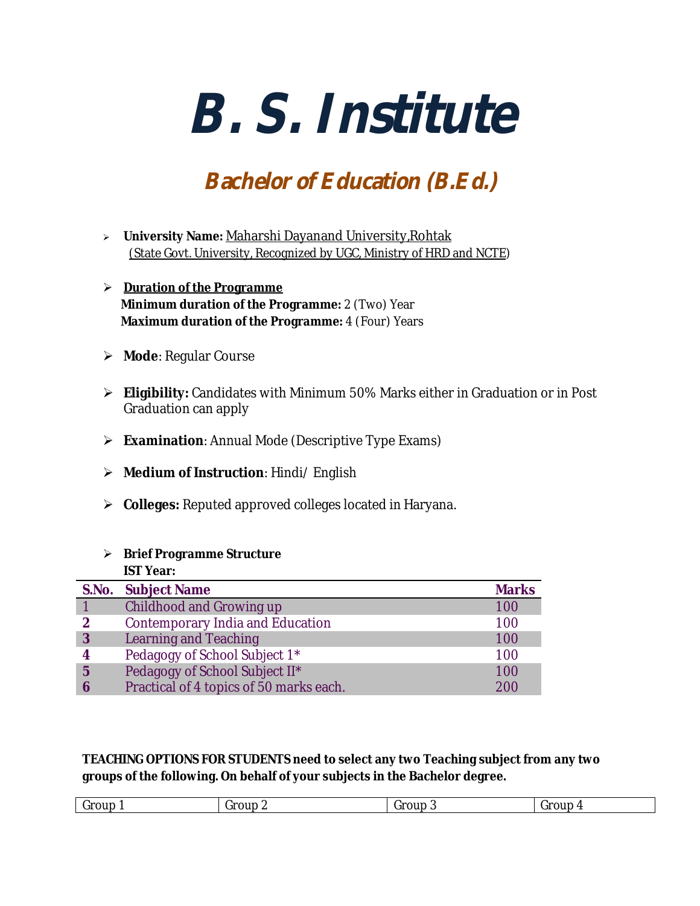# *B. S. Institute*

# *Bachelor of Education (B.Ed.)*

- **University Name:** Maharshi Dayanand University,Rohtak (State Govt. University, Recognized by UGC, Ministry of HRD and NCTE)
- **Duration of the Programme Minimum duration of the Programme:** 2 (Two) Year **Maximum duration of the Programme: 4 (Four) Years**
- **Mode**: Regular Course
- **Eligibility:** Candidates with Minimum 50% Marks either in Graduation or in Post Graduation can apply
- **Examination**: Annual Mode (Descriptive Type Exams)
- **Medium of Instruction**: Hindi/ English
- **Colleges:** Reputed approved colleges located in Haryana.

# **Brief Programme Structure**

**IST Year:**

|   | S.No. Subject Name                      | <b>Marks</b> |
|---|-----------------------------------------|--------------|
|   | Childhood and Growing up                | 100          |
| 2 | <b>Contemporary India and Education</b> | 100          |
| 3 | <b>Learning and Teaching</b>            | 100          |
| 4 | Pedagogy of School Subject 1*           | 100          |
| 5 | Pedagogy of School Subject II*          | 100          |
|   | Practical of 4 topics of 50 marks each. | 200          |

**TEACHING OPTIONS FOR STUDENTS need to select any two Teaching subject from any two groups of the following. On behalf of your subjects in the Bachelor degree.**

| $\epsilon$<br>iroup<br><br>$\cdots$<br>iroup<br>u<br>. .<br>. .<br>,,,<br>ັ<br>-<br>$\sim$ $\sim$ $\sim$ |
|----------------------------------------------------------------------------------------------------------|
|----------------------------------------------------------------------------------------------------------|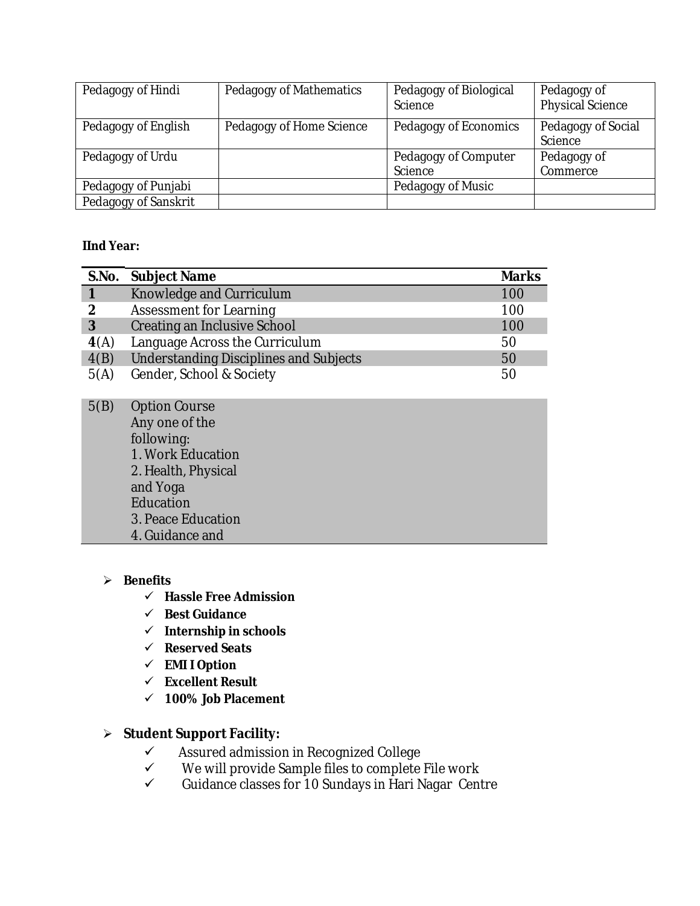| Pedagogy of Hindi    | Pedagogy of Mathematics  | Pedagogy of Biological<br>Science | Pedagogy of<br><b>Physical Science</b> |
|----------------------|--------------------------|-----------------------------------|----------------------------------------|
| Pedagogy of English  | Pedagogy of Home Science | Pedagogy of Economics             | Pedagogy of Social<br>Science          |
| Pedagogy of Urdu     |                          | Pedagogy of Computer              | Pedagogy of                            |
|                      |                          | Science                           | Commerce                               |
| Pedagogy of Punjabi  |                          | Pedagogy of Music                 |                                        |
| Pedagogy of Sanskrit |                          |                                   |                                        |

# **IInd Year:**

|      | S.No. Subject Name                            | <b>Marks</b> |
|------|-----------------------------------------------|--------------|
|      | Knowledge and Curriculum                      | 100          |
| 2    | <b>Assessment for Learning</b>                | 100          |
| 3    | Creating an Inclusive School                  | 100          |
| 4(A) | Language Across the Curriculum                | 50           |
| 4(B) | <b>Understanding Disciplines and Subjects</b> | 50           |
| 5(A) | Gender, School & Society                      | 50           |

| 5(B) | <b>Option Course</b> |
|------|----------------------|
|      | Any one of the       |
|      | following:           |
|      | 1. Work Education    |
|      | 2. Health, Physical  |
|      | and Yoga             |
|      | Education            |
|      | 3. Peace Education   |
|      | 4. Guidance and      |

# **Benefits**

- **Hassle Free Admission**
- **Best Guidance**
- **Internship in schools**
- **Reserved Seats**
- **EMI I Option**
- **Excellent Result**
- **100% Job Placement**

# **Student Support Facility:**

- $\checkmark$  Assured admission in Recognized College<br> $\checkmark$  We will provide Sample files to complete
- $\checkmark$  We will provide Sample files to complete File work<br> $\checkmark$  Guidance classes for 10 Sundavs in Hari Nagar Cent
- Guidance classes for 10 Sundays in Hari Nagar Centre